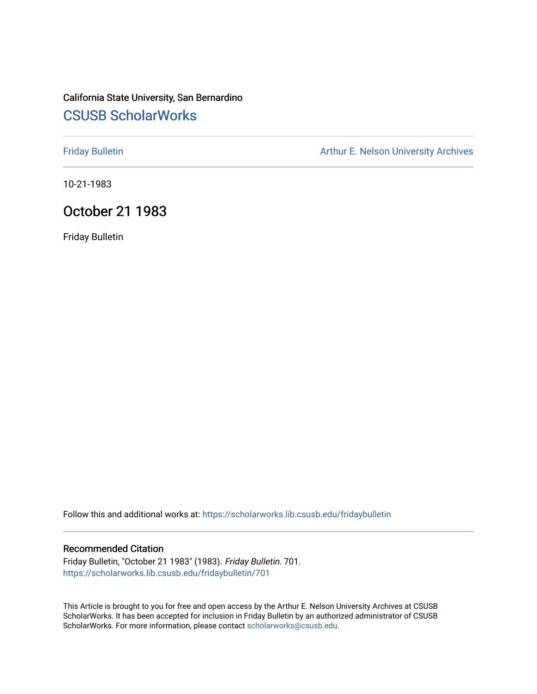# California State University, San Bernardino [CSUSB ScholarWorks](https://scholarworks.lib.csusb.edu/)

[Friday Bulletin](https://scholarworks.lib.csusb.edu/fridaybulletin) **Arthur E. Nelson University Archives** Arthur E. Nelson University Archives

10-21-1983

# October 21 1983

Friday Bulletin

Follow this and additional works at: [https://scholarworks.lib.csusb.edu/fridaybulletin](https://scholarworks.lib.csusb.edu/fridaybulletin?utm_source=scholarworks.lib.csusb.edu%2Ffridaybulletin%2F701&utm_medium=PDF&utm_campaign=PDFCoverPages)

### Recommended Citation

Friday Bulletin, "October 21 1983" (1983). Friday Bulletin. 701. [https://scholarworks.lib.csusb.edu/fridaybulletin/701](https://scholarworks.lib.csusb.edu/fridaybulletin/701?utm_source=scholarworks.lib.csusb.edu%2Ffridaybulletin%2F701&utm_medium=PDF&utm_campaign=PDFCoverPages)

This Article is brought to you for free and open access by the Arthur E. Nelson University Archives at CSUSB ScholarWorks. It has been accepted for inclusion in Friday Bulletin by an authorized administrator of CSUSB ScholarWorks. For more information, please contact [scholarworks@csusb.edu.](mailto:scholarworks@csusb.edu)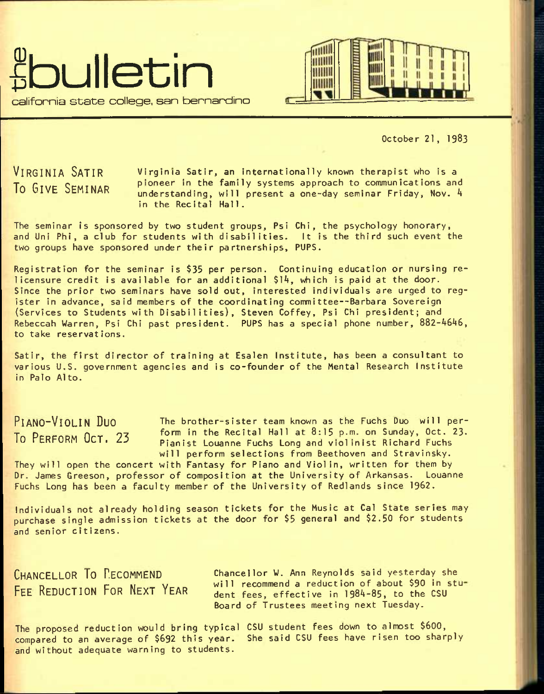



October 21, 1983

VIRGINIA SATIR Virginia Satir, an internationally known therapist who is a To GIVE SEMINAR pioneer in the family systems approach to communications and  $understanding, will present a one-day seminar Friday, Nov.  $4$$ in the Recital Hall.

The seminar is sponsored by two student groups, Psi Chi, the psychology honorary, and Uni Phi, a club for students with disabilities. It is the third such event the two groups have sponsored under their partnerships, PUPS.

Registration for the seminar is \$35 per person. Continuing education or nursing relicensure credit is available for an additional \$14, which is paid at the door. Since the prior two seminars have sold out, interested individuals are urged to register in advance, said members of the coordinating committee--Barbara Sovereign (Services to Students with Disabilities), Steven Coffey, Psi Chi president; and Rebeccah Warren, Psi Chi past president. PUPS has a special phone number, 882-4646, to take reservations.

Satir, the first director of training at Esalen Institute, has been a consultant to various U.S. government agencies and is co-founder of the Mental Research Institute in Palo Alto.

PIANO-VIOLIN DUO The brother-sister team known as the Fuchs Duo will per-To PERFORM  $OCT. 23$  form in the Recital Hall at 8:15 p.m. on Sunday, Oct. 23. Pianist Louanne Fuchs Long and violinist Richard Fuchs will perform selections from Beethoven and Stravinsky.

They will open the concert with Fantasy for Piano and Violin, written for them by Dr. James Greeson, professor of composition at the University of Arkansas. Louanne Fuchs Long has been a faculty member of the University of Redlands since 1962.

Individuals not already holding season tickets for the Music at Cal State series may purchase single admission tickets at the door for \$5 general and \$2.50 for students and senior citizens.

CHANCELLOR TO RECOMMEND Chancellor W. Ann Reynolds said yesterday she FEE REDUCTION FOR NEXT YEAR will recommend a reduction of about \$90 in student fees, effective in 1984-85, to the CSU Board of Trustees meeting next Tuesday.

The proposed reduction would bring typical CSU student fees down to almost \$600, compared to an average of \$692 this year. She said CSU fees have risen too sharply and without adequate warning to students.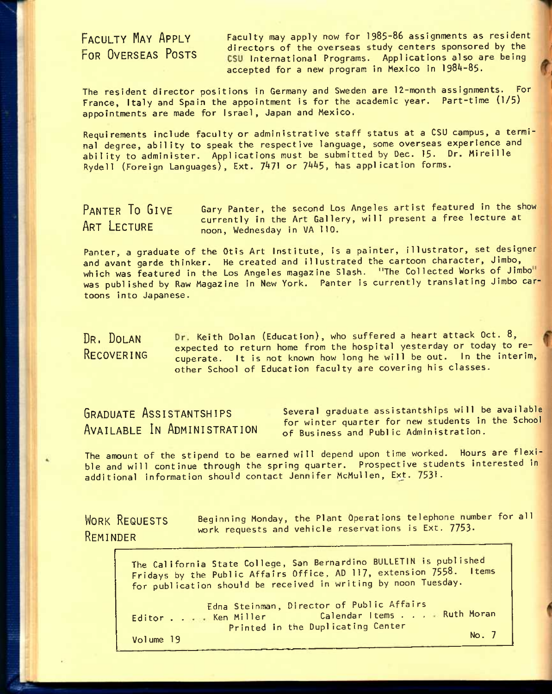FACULTY MAY APPLY Faculty may apply now for 1985-86 assignments as resident **FOR OVERSEAS POSTS** directors of the overseas study centers sponsored by the contract of the overseas study centers sponsored by the CSU International Programs. Applications also are being accepted for a new program in Mexico in 1984-85.

The resident director positions in Germany and Sweden are 12-month assignments. For France, Italy and Spain the appointment is for the academic year. Part-time (1/5) appointments are made for Israel, Japan and Mexico.

Requirements include faculty or administrative staff status at a CSU campus, a terminal degree, ability to speak the respective language, some overseas experience and ability to administer. Applications must be submitted by Dec. 15. Dr. Mireille Rydell (Foreign Languages), Ext. 7471 or 7445, has application forms.

PANTER TO GIVE Gary Panter, the second Los Angeles artist featured in the show eurrently in the Art Gallery, will present a free lecture at noon, Wednesday in VA 110.

Panter, a graduate of the Otis Art Institute, is a painter, illustrator, set designer and avant garde thinker. He created and illustrated the cartoon character, Jimbo, which was featured in the Los Angeles magazine Slash. "The Collected Works of Jimbo" was published by Raw Magazine in New York. Panter is currently translating Jimbo cartoons into Japanese.

DR. DOLAN Dr. Keith Dolan (Education), who suffered a heart attack Oct. 8,  $P_{\text{R}}$  expected to return home from the hospital yesterday or today to re-<br>RECOVERING augusts it is not known how long be will be out. In the interim cuperate. It is not known how long he will be out. In the interim, other School of Education faculty are covering his classes.

GRADUATE ASSISTANTSHIPS AVAILABLE IN ADMINISTRATION Several graduate assistantships will be available for winter quarter for new students in the School of Business and Public Administration.

The amount of the stipend to be earned will depend upon time worked. Hours are flexible and will continue through the spring quarter. Prospective students interested in additional information should contact Jennifer McMullen, Ext. 7531.

WORK REQUESTS **REMINDER** Beginning Monday, the Plant Operations telephone number for all work requests and vehicle reservations is Ext. 7753.

> The California State College, San Bernardino BULLETIN is published Fridays by the Public Affairs Office, AD 117, extension 7558. Items for publication should be received in writing by noon Tuesday.

> Editor . . . . Ken Miller Volume 19 Edna Steinman, Director of Public Affairs ana Sternman, briector of Fabric Afranco<br>Ken Miller Calendar Items . . . . Ruth Moran Printed in the Duplicating Center No. 7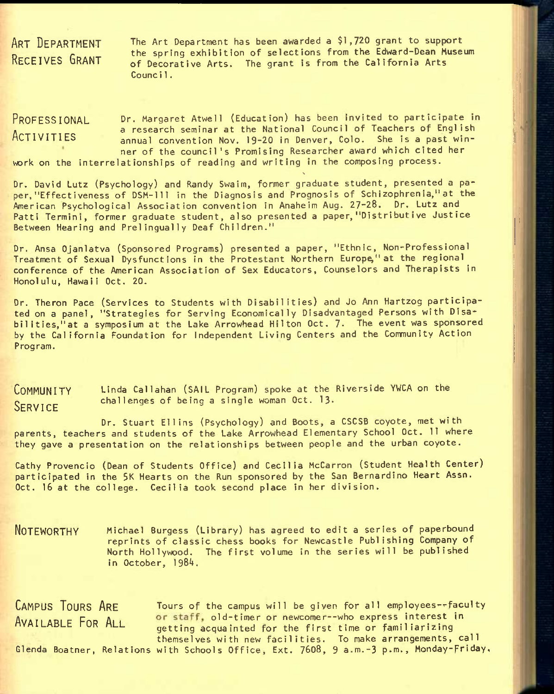ART DEPARTMENT RECEIVES GRANT

The Art Department has been awarded a \$1,720 grant to support the spring exhibition of selections from the Edward-Dean Museum of Decorative Arts. The grant is from the California Arts Counci1.

#### Dr. Margaret Atwell (Education) has been invited to participate in a research seminar at the National Council of Teachers of English annual convention Nov, 19-20 in Denver, Colo. She is a past winner of the council's Promising Researcher award which cited her PROFESSIONAL **ACTIVITIES**

work on the interrelationships of reading and writing in the composing process.  $\ddot{\phantom{0}}$ 

Dr. David Lutz (Psychology) and Randy Swaim, former graduate student, presented a paper, "Effect iveness of DSM-111 in the Diagnosis and Prognosis of Schizophrenia," at the American Psychological Association convention in Anaheim Aug. 27-28. Dr. Lutz and Patti Termini, former graduate student, also presented a paper, "Distributive Justice Between Hearing and Prelingually Deaf Children."

Dr. Ansa Ojanlatva (Sponsored Programs) presented a paper, "Ethnic, Non-Professional Treatment of Sexual Dysfunctions in the Protestant Northern Europe" at the regional conference of the American Association of Sex Educators, Counselors and Therapists in Honolulu, Hawaii Oct. 20.

Dr. Theron Pace (Services to Students with Disabilities) and Jo Ann Hartzog participated on a panel, "Strategies for Serving Economically Disadvantaged Persons with Disabilities,"at a symposium at the Lake Arrowhead Hilton Oct. 7. The event was sponsored by the California Foundation for Independent Living Centers and the Community Action Program.

COMMUNITY Linda Callahan (SAIL Program) spoke at the Riverside YWCA on the SERVICE challenges of being a single woman Oct. 13.

Dr. Stuart Ellins (Psychology) and Boots, a CSCSB coyote, met with parents, teachers and students of the Lake Arrowhead Elementary School Oct. 11 where they gave a presentation on the relationships between people and the urban coyote.

Cathy Provencio (Dean of Students Office) and Cecilia McCarron (Student Health Center) participated in the 5K Hearts on the Run sponsored by the San Bernardino Heart Assn. Oct. 16 at the college. Cecilia took second place in her division.

NOTEWORTHY Mlchael Surgess (Library) has agreed to edit a series of paperbound reprints of classic chess books for Newcastle Publishing Company of North Hollywood. The first volume in the series will be published in October,  $1984$ .

CAMPUS TOURS ARE Tours of the campus will be given for all employees--faculty AVAILABLE FOR ALL or staff, old-timer or newcomer--who express interest in getting acquainted for the first time or familiarizing themselves with new facilities. To make arrangements, call Glenda Boatner, Relations with Schools Office, Ext. 7608, 9 a.m.-3 p.m., Monday-Friday,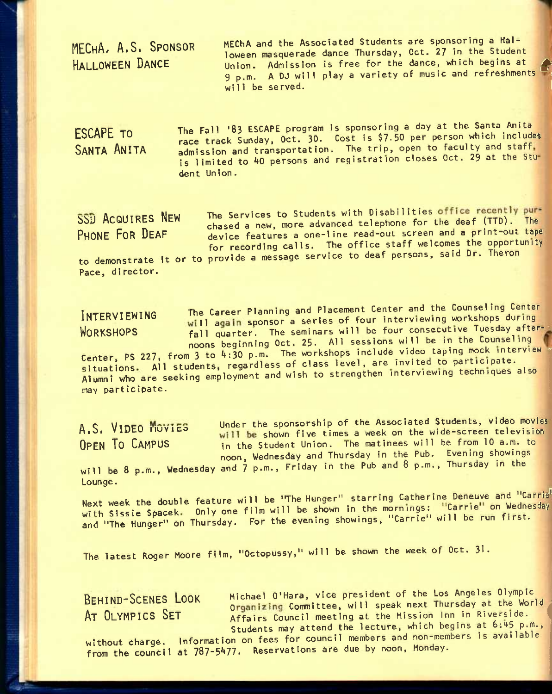MECHA, A.S. SPONSOR HALLOWEEN DANCE

MEChA and the Associated Students are sponsoring a Hailoween masquerade dance Thursday, Oct. 27 in the Student Union. Admission is free for the dance, which begins at Union. Admission is free tor the dance, which begins at the political state of products. The political state o<br>9 p.m. A DJ will play a variety of music and refreshments will be served.  $\blacksquare$ 

ESCAPE TO SANTA ANITA The Fall '83 ESCAPE program is sponsoring a day at the Santa Anita race track Sunday, Oct. 30. Cost is \$7-50 per person which includes admission and transportation. The trip, open to faculty and staff is limited to 40 persons and registration closes Oct. 29 at the Student Union.

SSD ACQUIRES NEW The Services to Students with Disabilities office recently pur-<br>SSD ACQUIRES NEW The Services to Studented tolerhope for the deaf (TTD). The bbJ ACQUIRES ntVi chased a new, more advanced telephone for the deaf (TTO). The device features a one-line read-out screen and a print-out tape for recording calls. The office staff welcomes the opportunity to demonstrate it or to provide a message service to deaf persons, said Dr. Theron Pace, director.

INTERVIEWING The Career Planning and Placement Center and the Counseling Center will again sponsor a series of four interviewing workshops during WORKSHOPS **fall quarter.** The seminars will be four consecutive Tuesday afternoons beginning Oct. 25. All sessions will be in the Counseling Center, PS 227, from 3 to  $4:30$  p.m. The workshops include video taping mock interview situations. All students, regardless of class level, are invited to participate.

Alumni who are seeking employment and wish to strengthen interviewing techniques aiso may participate.

A<sub>1</sub>S, VIDEO MOVIES Under the sponsorship of the Associated Students, video movies H<sub>10</sub>, villed invited will be shown five times a week on the wide-screen television<br>OPEN TO CAMPUS in the Student Union. The matinees will be from 10 a.m. to in the Student Union. The matinees will be from 10 a.m. to noon, Wednesday and Thursday in the Pub. Evening showings will be 8 p.m., Wednesday and 7 p.m., Friday in the Pub and 8 p.m., Thursday in the

Lounge.

Next week the double feature will be "The Hunger" starring Catherine Deneuve and "Carrie with Sissie Spacek. Only one film will be shown in the mornings: "Carrie" on Wednesday and "The Hunger" on Thursday. For the evening showings, "Carrie" will be run first.

The latest Roger Moore film, "Octopussy," will be shown the week of Oct. 31.

BEHIND-SCENES LOOK Michael O'Hara, vice president of the Los Angeles Olympic BEHIND JUCHES LOOK Organizing Committee, will speak next Thursday at the World<br>AT OLYMPICS SET Affairs Council meeting at the Mission Inn in Riverside. Affairs Council meeting at the Mission Inn in Riverside. Students may attend the lecture, which begins at 6:45 p.m.,

without charge. Information on fees for council members and non-members is available from the council at 787-5477. Reservations are due by noon, Monday.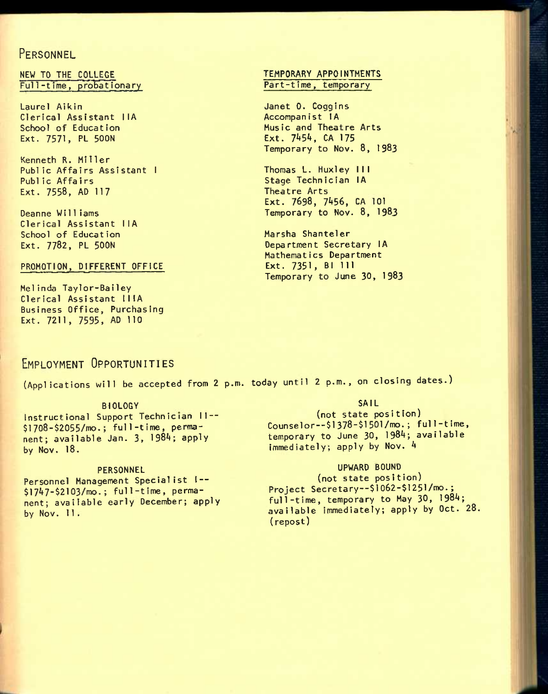## **PERSONNEL**

NEW TO THE COLLEGE Full-time, probationary

Laurel Aikin Clerical Assistant IIA School of Education Ext. 7571, PL 500N

Kenneth R. Miller Public Affairs Assistant I Public AffaIrs Ext. 7558, AD 117

Deanne Wi11iams Clerical Assistant IIA School of Education Ext. 7782, PL 5OON

#### PROMOTION, DIFFERENT OFFICE

Melinda Taylor-Bailey Clerical Assistant IIIA Business Office, Purchasing Ext. 7211, 7595, AD 110

#### TEMPORARY APPOINTMENTS Part-time, temporary

Janet 0. Coggins Accompanist IA Music and Theatre Arts Ext. 7454, CA 175 Temporary to Nov. 8, 1983

Thomas L. Huxley III Stage Technician lA Theatre Arts Ext. 7698, 7456, CA 101 Temporary to Nov. 8, I983

Marsha Shanteler Department Secretary lA Mathematics Department Ext. 7351, Bl 111 Temporary to June 30, I983

# EMPLOYMENT OPPORTUNITIES

(Applications will be accepted from 2 p.m. today until 2 p.m., on closing dates.)

#### BIOLOGY

Instructional Support Technician II --\$1708-\$2055/mo.; full-time, permanent; available Jan. 3, 1984; apply by Nov. 18.

#### **PERSONNEL**

Personnel Management Specialist I--\$1747-\$2103/mo.; full-time, permanent; available early December; apply by Nov. 11 .

#### SAIL

(not state position) Counselor-- $$1378-$1501/mo.; full-time,$ temporary to June 30, 1984; available immediately; apply by Nov. 4

#### UPWARD BOUND

(not state position) Project Secretary--\$1062-\$1251/mo.; full-time, temporary to May 30, 1984; available immediately; apply by Oct. 28. (repost)